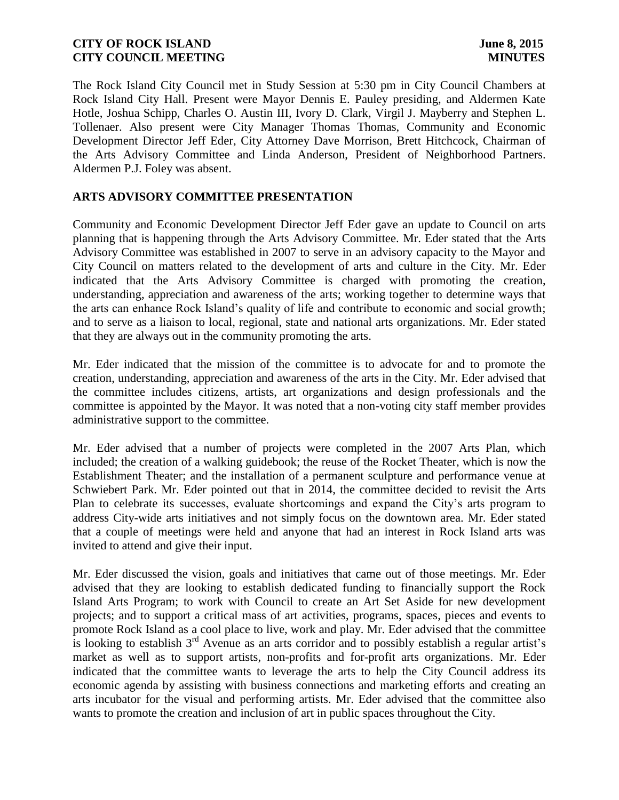The Rock Island City Council met in Study Session at 5:30 pm in City Council Chambers at Rock Island City Hall. Present were Mayor Dennis E. Pauley presiding, and Aldermen Kate Hotle, Joshua Schipp, Charles O. Austin III, Ivory D. Clark, Virgil J. Mayberry and Stephen L. Tollenaer. Also present were City Manager Thomas Thomas, Community and Economic Development Director Jeff Eder, City Attorney Dave Morrison, Brett Hitchcock, Chairman of the Arts Advisory Committee and Linda Anderson, President of Neighborhood Partners. Aldermen P.J. Foley was absent.

### **ARTS ADVISORY COMMITTEE PRESENTATION**

Community and Economic Development Director Jeff Eder gave an update to Council on arts planning that is happening through the Arts Advisory Committee. Mr. Eder stated that the Arts Advisory Committee was established in 2007 to serve in an advisory capacity to the Mayor and City Council on matters related to the development of arts and culture in the City. Mr. Eder indicated that the Arts Advisory Committee is charged with promoting the creation, understanding, appreciation and awareness of the arts; working together to determine ways that the arts can enhance Rock Island's quality of life and contribute to economic and social growth; and to serve as a liaison to local, regional, state and national arts organizations. Mr. Eder stated that they are always out in the community promoting the arts.

Mr. Eder indicated that the mission of the committee is to advocate for and to promote the creation, understanding, appreciation and awareness of the arts in the City. Mr. Eder advised that the committee includes citizens, artists, art organizations and design professionals and the committee is appointed by the Mayor. It was noted that a non-voting city staff member provides administrative support to the committee.

Mr. Eder advised that a number of projects were completed in the 2007 Arts Plan, which included; the creation of a walking guidebook; the reuse of the Rocket Theater, which is now the Establishment Theater; and the installation of a permanent sculpture and performance venue at Schwiebert Park. Mr. Eder pointed out that in 2014, the committee decided to revisit the Arts Plan to celebrate its successes, evaluate shortcomings and expand the City's arts program to address City-wide arts initiatives and not simply focus on the downtown area. Mr. Eder stated that a couple of meetings were held and anyone that had an interest in Rock Island arts was invited to attend and give their input.

Mr. Eder discussed the vision, goals and initiatives that came out of those meetings. Mr. Eder advised that they are looking to establish dedicated funding to financially support the Rock Island Arts Program; to work with Council to create an Art Set Aside for new development projects; and to support a critical mass of art activities, programs, spaces, pieces and events to promote Rock Island as a cool place to live, work and play. Mr. Eder advised that the committee is looking to establish  $3^{rd}$  Avenue as an arts corridor and to possibly establish a regular artist's market as well as to support artists, non-profits and for-profit arts organizations. Mr. Eder indicated that the committee wants to leverage the arts to help the City Council address its economic agenda by assisting with business connections and marketing efforts and creating an arts incubator for the visual and performing artists. Mr. Eder advised that the committee also wants to promote the creation and inclusion of art in public spaces throughout the City.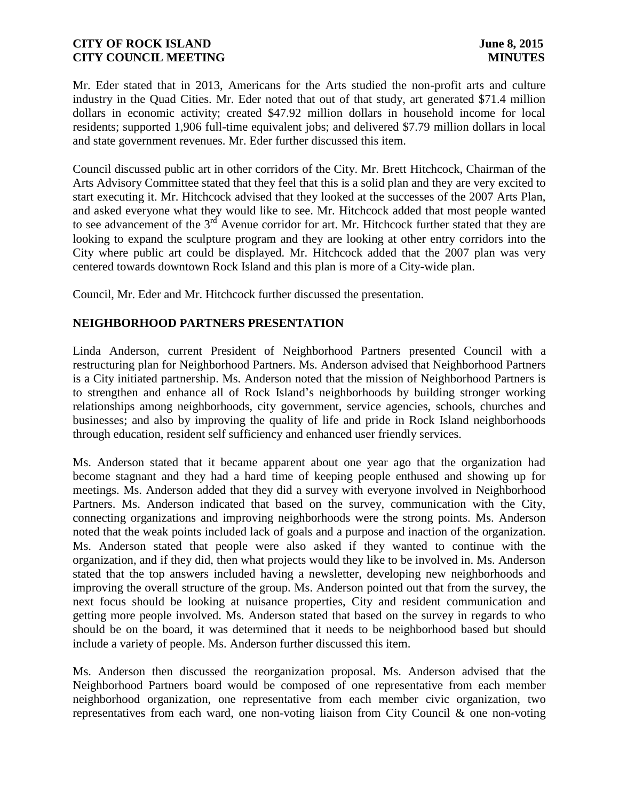Mr. Eder stated that in 2013, Americans for the Arts studied the non-profit arts and culture industry in the Quad Cities. Mr. Eder noted that out of that study, art generated \$71.4 million dollars in economic activity; created \$47.92 million dollars in household income for local residents; supported 1,906 full-time equivalent jobs; and delivered \$7.79 million dollars in local and state government revenues. Mr. Eder further discussed this item.

Council discussed public art in other corridors of the City. Mr. Brett Hitchcock, Chairman of the Arts Advisory Committee stated that they feel that this is a solid plan and they are very excited to start executing it. Mr. Hitchcock advised that they looked at the successes of the 2007 Arts Plan, and asked everyone what they would like to see. Mr. Hitchcock added that most people wanted to see advancement of the 3<sup>rd</sup> Avenue corridor for art. Mr. Hitchcock further stated that they are looking to expand the sculpture program and they are looking at other entry corridors into the City where public art could be displayed. Mr. Hitchcock added that the 2007 plan was very centered towards downtown Rock Island and this plan is more of a City-wide plan.

Council, Mr. Eder and Mr. Hitchcock further discussed the presentation.

### **NEIGHBORHOOD PARTNERS PRESENTATION**

Linda Anderson, current President of Neighborhood Partners presented Council with a restructuring plan for Neighborhood Partners. Ms. Anderson advised that Neighborhood Partners is a City initiated partnership. Ms. Anderson noted that the mission of Neighborhood Partners is to strengthen and enhance all of Rock Island's neighborhoods by building stronger working relationships among neighborhoods, city government, service agencies, schools, churches and businesses; and also by improving the quality of life and pride in Rock Island neighborhoods through education, resident self sufficiency and enhanced user friendly services.

Ms. Anderson stated that it became apparent about one year ago that the organization had become stagnant and they had a hard time of keeping people enthused and showing up for meetings. Ms. Anderson added that they did a survey with everyone involved in Neighborhood Partners. Ms. Anderson indicated that based on the survey, communication with the City, connecting organizations and improving neighborhoods were the strong points. Ms. Anderson noted that the weak points included lack of goals and a purpose and inaction of the organization. Ms. Anderson stated that people were also asked if they wanted to continue with the organization, and if they did, then what projects would they like to be involved in. Ms. Anderson stated that the top answers included having a newsletter, developing new neighborhoods and improving the overall structure of the group. Ms. Anderson pointed out that from the survey, the next focus should be looking at nuisance properties, City and resident communication and getting more people involved. Ms. Anderson stated that based on the survey in regards to who should be on the board, it was determined that it needs to be neighborhood based but should include a variety of people. Ms. Anderson further discussed this item.

Ms. Anderson then discussed the reorganization proposal. Ms. Anderson advised that the Neighborhood Partners board would be composed of one representative from each member neighborhood organization, one representative from each member civic organization, two representatives from each ward, one non-voting liaison from City Council & one non-voting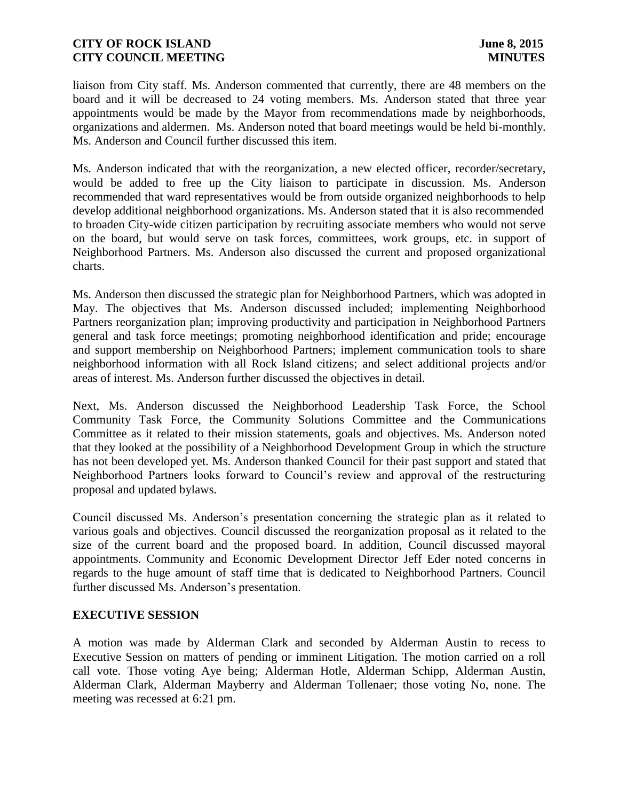liaison from City staff. Ms. Anderson commented that currently, there are 48 members on the board and it will be decreased to 24 voting members. Ms. Anderson stated that three year appointments would be made by the Mayor from recommendations made by neighborhoods, organizations and aldermen. Ms. Anderson noted that board meetings would be held bi-monthly. Ms. Anderson and Council further discussed this item.

Ms. Anderson indicated that with the reorganization, a new elected officer, recorder/secretary, would be added to free up the City liaison to participate in discussion. Ms. Anderson recommended that ward representatives would be from outside organized neighborhoods to help develop additional neighborhood organizations. Ms. Anderson stated that it is also recommended to broaden City-wide citizen participation by recruiting associate members who would not serve on the board, but would serve on task forces, committees, work groups, etc. in support of Neighborhood Partners. Ms. Anderson also discussed the current and proposed organizational charts.

Ms. Anderson then discussed the strategic plan for Neighborhood Partners, which was adopted in May. The objectives that Ms. Anderson discussed included; implementing Neighborhood Partners reorganization plan; improving productivity and participation in Neighborhood Partners general and task force meetings; promoting neighborhood identification and pride; encourage and support membership on Neighborhood Partners; implement communication tools to share neighborhood information with all Rock Island citizens; and select additional projects and/or areas of interest. Ms. Anderson further discussed the objectives in detail.

Next, Ms. Anderson discussed the Neighborhood Leadership Task Force, the School Community Task Force, the Community Solutions Committee and the Communications Committee as it related to their mission statements, goals and objectives. Ms. Anderson noted that they looked at the possibility of a Neighborhood Development Group in which the structure has not been developed yet. Ms. Anderson thanked Council for their past support and stated that Neighborhood Partners looks forward to Council's review and approval of the restructuring proposal and updated bylaws.

Council discussed Ms. Anderson's presentation concerning the strategic plan as it related to various goals and objectives. Council discussed the reorganization proposal as it related to the size of the current board and the proposed board. In addition, Council discussed mayoral appointments. Community and Economic Development Director Jeff Eder noted concerns in regards to the huge amount of staff time that is dedicated to Neighborhood Partners. Council further discussed Ms. Anderson's presentation.

### **EXECUTIVE SESSION**

A motion was made by Alderman Clark and seconded by Alderman Austin to recess to Executive Session on matters of pending or imminent Litigation. The motion carried on a roll call vote. Those voting Aye being; Alderman Hotle, Alderman Schipp, Alderman Austin, Alderman Clark, Alderman Mayberry and Alderman Tollenaer; those voting No, none. The meeting was recessed at 6:21 pm.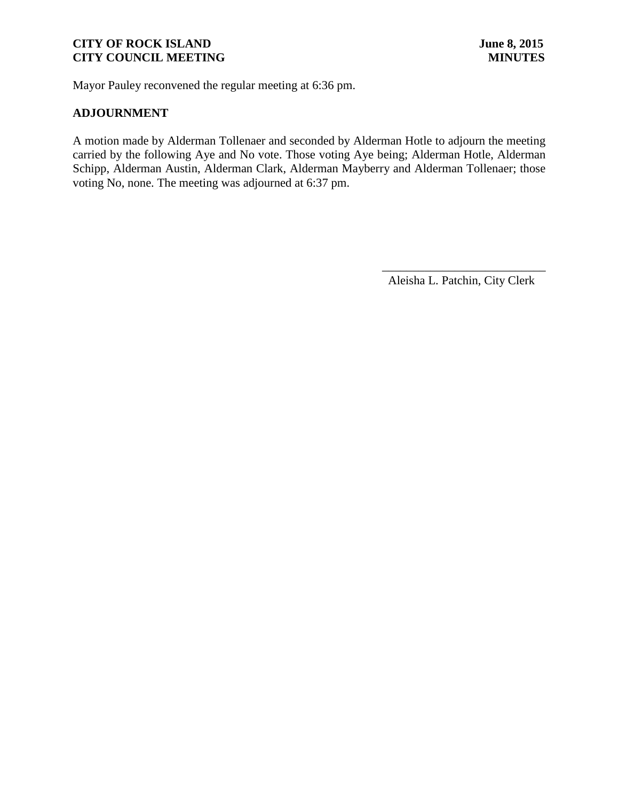Mayor Pauley reconvened the regular meeting at 6:36 pm.

### **ADJOURNMENT**

A motion made by Alderman Tollenaer and seconded by Alderman Hotle to adjourn the meeting carried by the following Aye and No vote. Those voting Aye being; Alderman Hotle, Alderman Schipp, Alderman Austin, Alderman Clark, Alderman Mayberry and Alderman Tollenaer; those voting No, none. The meeting was adjourned at 6:37 pm.

Aleisha L. Patchin, City Clerk

 $\frac{1}{2}$  ,  $\frac{1}{2}$  ,  $\frac{1}{2}$  ,  $\frac{1}{2}$  ,  $\frac{1}{2}$  ,  $\frac{1}{2}$  ,  $\frac{1}{2}$  ,  $\frac{1}{2}$  ,  $\frac{1}{2}$  ,  $\frac{1}{2}$  ,  $\frac{1}{2}$  ,  $\frac{1}{2}$  ,  $\frac{1}{2}$  ,  $\frac{1}{2}$  ,  $\frac{1}{2}$  ,  $\frac{1}{2}$  ,  $\frac{1}{2}$  ,  $\frac{1}{2}$  ,  $\frac{1$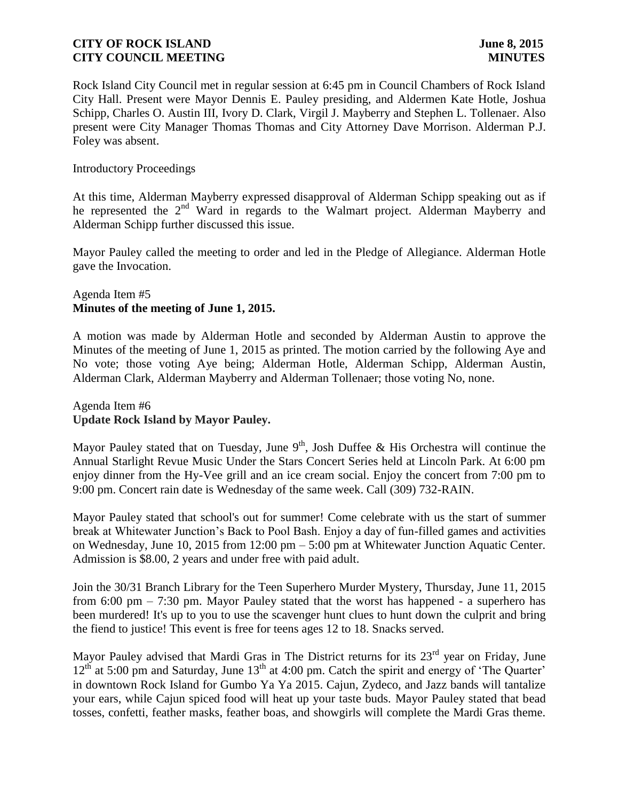Rock Island City Council met in regular session at 6:45 pm in Council Chambers of Rock Island City Hall. Present were Mayor Dennis E. Pauley presiding, and Aldermen Kate Hotle, Joshua Schipp, Charles O. Austin III, Ivory D. Clark, Virgil J. Mayberry and Stephen L. Tollenaer. Also present were City Manager Thomas Thomas and City Attorney Dave Morrison. Alderman P.J. Foley was absent.

#### Introductory Proceedings

At this time, Alderman Mayberry expressed disapproval of Alderman Schipp speaking out as if he represented the 2<sup>nd</sup> Ward in regards to the Walmart project. Alderman Mayberry and Alderman Schipp further discussed this issue.

Mayor Pauley called the meeting to order and led in the Pledge of Allegiance. Alderman Hotle gave the Invocation.

### Agenda Item #5 **Minutes of the meeting of June 1, 2015.**

A motion was made by Alderman Hotle and seconded by Alderman Austin to approve the Minutes of the meeting of June 1, 2015 as printed. The motion carried by the following Aye and No vote; those voting Aye being; Alderman Hotle, Alderman Schipp, Alderman Austin, Alderman Clark, Alderman Mayberry and Alderman Tollenaer; those voting No, none.

Agenda Item #6 **Update Rock Island by Mayor Pauley.**

Mayor Pauley stated that on Tuesday, June  $9<sup>th</sup>$ , Josh Duffee & His Orchestra will continue the Annual Starlight Revue Music Under the Stars Concert Series held at Lincoln Park. At 6:00 pm enjoy dinner from the Hy-Vee grill and an ice cream social. Enjoy the concert from 7:00 pm to 9:00 pm. Concert rain date is Wednesday of the same week. Call (309) 732-RAIN.

Mayor Pauley stated that school's out for summer! Come celebrate with us the start of summer break at Whitewater Junction's Back to Pool Bash. Enjoy a day of fun-filled games and activities on Wednesday, June 10, 2015 from 12:00 pm – 5:00 pm at Whitewater Junction Aquatic Center. Admission is \$8.00, 2 years and under free with paid adult.

Join the 30/31 Branch Library for the Teen Superhero Murder Mystery, Thursday, June 11, 2015 from 6:00 pm – 7:30 pm. Mayor Pauley stated that the worst has happened - a superhero has been murdered! It's up to you to use the scavenger hunt clues to hunt down the culprit and bring the fiend to justice! This event is free for teens ages 12 to 18. Snacks served.

Mayor Pauley advised that Mardi Gras in The District returns for its 23<sup>rd</sup> year on Friday, June  $12<sup>th</sup>$  at 5:00 pm and Saturday, June  $13<sup>th</sup>$  at 4:00 pm. Catch the spirit and energy of 'The Quarter' in downtown Rock Island for Gumbo Ya Ya 2015. Cajun, Zydeco, and Jazz bands will tantalize your ears, while Cajun spiced food will heat up your taste buds. Mayor Pauley stated that bead tosses, confetti, feather masks, feather boas, and showgirls will complete the Mardi Gras theme.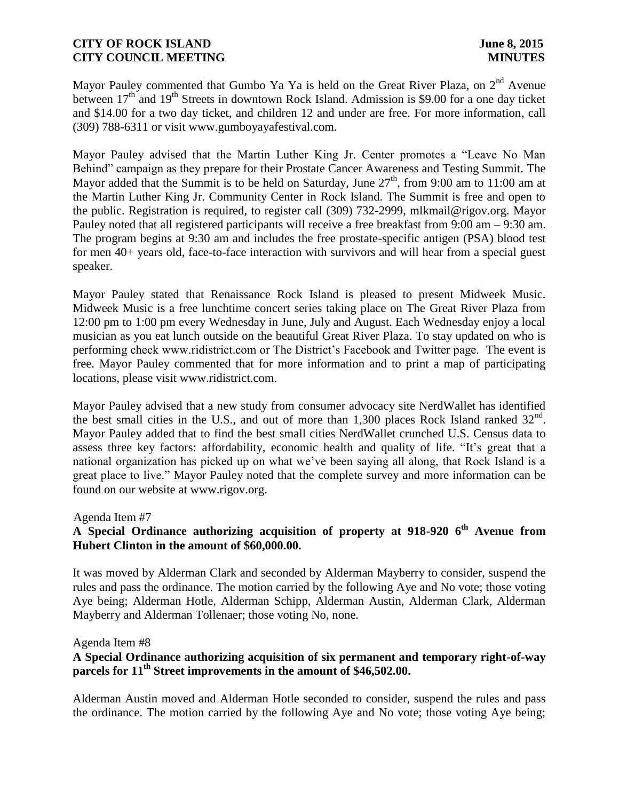Mayor Pauley commented that Gumbo Ya Ya is held on the Great River Plaza, on 2<sup>nd</sup> Avenue between 17<sup>th</sup> and 19<sup>th</sup> Streets in downtown Rock Island. Admission is \$9.00 for a one day ticket and \$14.00 for a two day ticket, and children 12 and under are free. For more information, call (309) 788-6311 or visit www.gumboyayafestival.com.

Mayor Pauley advised that the Martin Luther King Jr. Center promotes a "Leave No Man Behind" campaign as they prepare for their Prostate Cancer Awareness and Testing Summit. The Mayor added that the Summit is to be held on Saturday, June  $27<sup>th</sup>$ , from 9:00 am to 11:00 am at the Martin Luther King Jr. Community Center in Rock Island. The Summit is free and open to the public. Registration is required, to register call (309) 732-2999, mlkmail@rigov.org. Mayor Pauley noted that all registered participants will receive a free breakfast from 9:00 am – 9:30 am. The program begins at 9:30 am and includes the free prostate-specific antigen (PSA) blood test for men 40+ years old, face-to-face interaction with survivors and will hear from a special guest speaker.

Mayor Pauley stated that Renaissance Rock Island is pleased to present Midweek Music. Midweek Music is a free lunchtime concert series taking place on The Great River Plaza from 12:00 pm to 1:00 pm every Wednesday in June, July and August. Each Wednesday enjoy a local musician as you eat lunch outside on the beautiful Great River Plaza. To stay updated on who is performing check www.ridistrict.com or The District's Facebook and Twitter page. The event is free. Mayor Pauley commented that for more information and to print a map of participating locations, please visit www.ridistrict.com.

Mayor Pauley advised that a new study from consumer advocacy site NerdWallet has identified the best small cities in the U.S., and out of more than 1,300 places Rock Island ranked  $32<sup>nd</sup>$ . Mayor Pauley added that to find the best small cities NerdWallet crunched U.S. Census data to assess three key factors: affordability, economic health and quality of life. "It's great that a national organization has picked up on what we've been saying all along, that Rock Island is a great place to live." Mayor Pauley noted that the complete survey and more information can be found on our website at www.rigov.org.

### Agenda Item #7

# **A Special Ordinance authorizing acquisition of property at 918-920 6th Avenue from Hubert Clinton in the amount of \$60,000.00.**

It was moved by Alderman Clark and seconded by Alderman Mayberry to consider, suspend the rules and pass the ordinance. The motion carried by the following Aye and No vote; those voting Aye being; Alderman Hotle, Alderman Schipp, Alderman Austin, Alderman Clark, Alderman Mayberry and Alderman Tollenaer; those voting No, none.

#### Agenda Item #8

## **A Special Ordinance authorizing acquisition of six permanent and temporary right-of-way parcels for 11<sup>th</sup> Street improvements in the amount of \$46,502.00.**

Alderman Austin moved and Alderman Hotle seconded to consider, suspend the rules and pass the ordinance. The motion carried by the following Aye and No vote; those voting Aye being;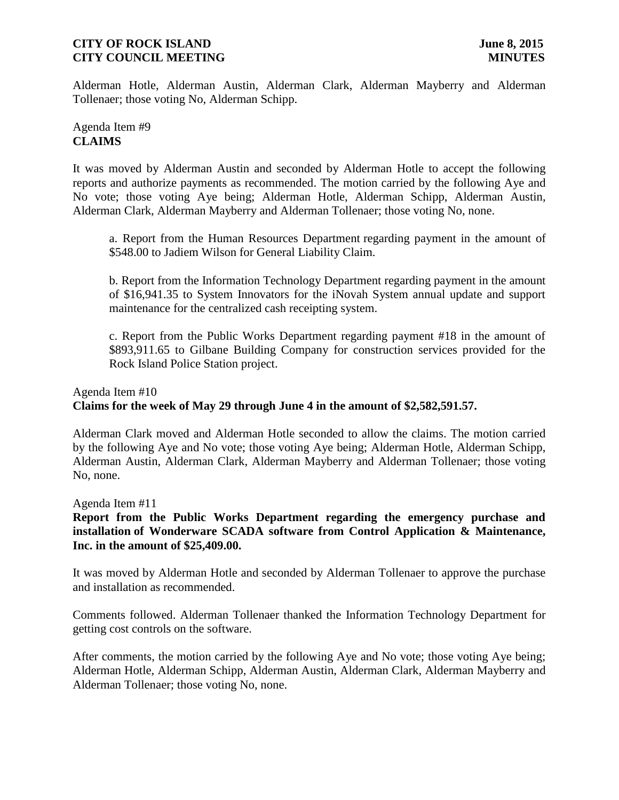Alderman Hotle, Alderman Austin, Alderman Clark, Alderman Mayberry and Alderman Tollenaer; those voting No, Alderman Schipp.

## Agenda Item #9 **CLAIMS**

It was moved by Alderman Austin and seconded by Alderman Hotle to accept the following reports and authorize payments as recommended. The motion carried by the following Aye and No vote; those voting Aye being; Alderman Hotle, Alderman Schipp, Alderman Austin, Alderman Clark, Alderman Mayberry and Alderman Tollenaer; those voting No, none.

a. Report from the Human Resources Department regarding payment in the amount of \$548.00 to Jadiem Wilson for General Liability Claim.

b. Report from the Information Technology Department regarding payment in the amount of \$16,941.35 to System Innovators for the iNovah System annual update and support maintenance for the centralized cash receipting system.

c. Report from the Public Works Department regarding payment #18 in the amount of \$893,911.65 to Gilbane Building Company for construction services provided for the Rock Island Police Station project.

# Agenda Item #10 **Claims for the week of May 29 through June 4 in the amount of \$2,582,591.57.**

Alderman Clark moved and Alderman Hotle seconded to allow the claims. The motion carried by the following Aye and No vote; those voting Aye being; Alderman Hotle, Alderman Schipp, Alderman Austin, Alderman Clark, Alderman Mayberry and Alderman Tollenaer; those voting No, none.

Agenda Item #11

**Report from the Public Works Department regarding the emergency purchase and installation of Wonderware SCADA software from Control Application & Maintenance, Inc. in the amount of \$25,409.00.**

It was moved by Alderman Hotle and seconded by Alderman Tollenaer to approve the purchase and installation as recommended.

Comments followed. Alderman Tollenaer thanked the Information Technology Department for getting cost controls on the software.

After comments, the motion carried by the following Aye and No vote; those voting Aye being; Alderman Hotle, Alderman Schipp, Alderman Austin, Alderman Clark, Alderman Mayberry and Alderman Tollenaer; those voting No, none.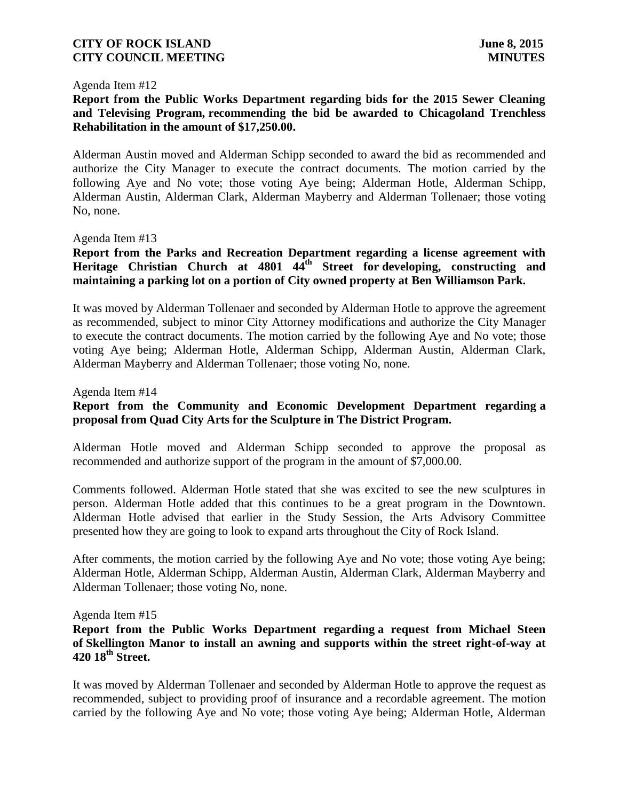#### Agenda Item #12

## **Report from the Public Works Department regarding bids for the 2015 Sewer Cleaning and Televising Program, recommending the bid be awarded to Chicagoland Trenchless Rehabilitation in the amount of \$17,250.00.**

Alderman Austin moved and Alderman Schipp seconded to award the bid as recommended and authorize the City Manager to execute the contract documents. The motion carried by the following Aye and No vote; those voting Aye being; Alderman Hotle, Alderman Schipp, Alderman Austin, Alderman Clark, Alderman Mayberry and Alderman Tollenaer; those voting No, none.

#### Agenda Item #13

## **Report from the Parks and Recreation Department regarding a license agreement with Heritage Christian Church at 4801 44th Street for developing, constructing and maintaining a parking lot on a portion of City owned property at Ben Williamson Park.**

It was moved by Alderman Tollenaer and seconded by Alderman Hotle to approve the agreement as recommended, subject to minor City Attorney modifications and authorize the City Manager to execute the contract documents. The motion carried by the following Aye and No vote; those voting Aye being; Alderman Hotle, Alderman Schipp, Alderman Austin, Alderman Clark, Alderman Mayberry and Alderman Tollenaer; those voting No, none.

Agenda Item #14

## **Report from the Community and Economic Development Department regarding a proposal from Quad City Arts for the Sculpture in The District Program.**

Alderman Hotle moved and Alderman Schipp seconded to approve the proposal as recommended and authorize support of the program in the amount of \$7,000.00.

Comments followed. Alderman Hotle stated that she was excited to see the new sculptures in person. Alderman Hotle added that this continues to be a great program in the Downtown. Alderman Hotle advised that earlier in the Study Session, the Arts Advisory Committee presented how they are going to look to expand arts throughout the City of Rock Island.

After comments, the motion carried by the following Aye and No vote; those voting Aye being; Alderman Hotle, Alderman Schipp, Alderman Austin, Alderman Clark, Alderman Mayberry and Alderman Tollenaer; those voting No, none.

#### Agenda Item #15

### **Report from the Public Works Department regarding a request from Michael Steen of Skellington Manor to install an awning and supports within the street right-of-way at 420 18th Street.**

It was moved by Alderman Tollenaer and seconded by Alderman Hotle to approve the request as recommended, subject to providing proof of insurance and a recordable agreement. The motion carried by the following Aye and No vote; those voting Aye being; Alderman Hotle, Alderman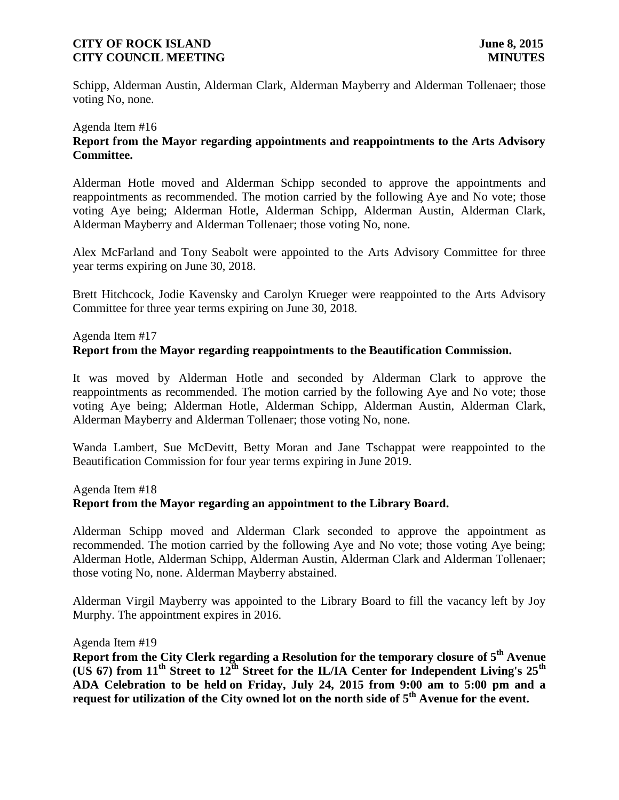Schipp, Alderman Austin, Alderman Clark, Alderman Mayberry and Alderman Tollenaer; those voting No, none.

# Agenda Item #16 **Report from the Mayor regarding appointments and reappointments to the Arts Advisory Committee.**

Alderman Hotle moved and Alderman Schipp seconded to approve the appointments and reappointments as recommended. The motion carried by the following Aye and No vote; those voting Aye being; Alderman Hotle, Alderman Schipp, Alderman Austin, Alderman Clark, Alderman Mayberry and Alderman Tollenaer; those voting No, none.

Alex McFarland and Tony Seabolt were appointed to the Arts Advisory Committee for three year terms expiring on June 30, 2018.

Brett Hitchcock, Jodie Kavensky and Carolyn Krueger were reappointed to the Arts Advisory Committee for three year terms expiring on June 30, 2018.

#### Agenda Item #17

### **Report from the Mayor regarding reappointments to the Beautification Commission.**

It was moved by Alderman Hotle and seconded by Alderman Clark to approve the reappointments as recommended. The motion carried by the following Aye and No vote; those voting Aye being; Alderman Hotle, Alderman Schipp, Alderman Austin, Alderman Clark, Alderman Mayberry and Alderman Tollenaer; those voting No, none.

Wanda Lambert, Sue McDevitt, Betty Moran and Jane Tschappat were reappointed to the Beautification Commission for four year terms expiring in June 2019.

#### Agenda Item #18

### **Report from the Mayor regarding an appointment to the Library Board.**

Alderman Schipp moved and Alderman Clark seconded to approve the appointment as recommended. The motion carried by the following Aye and No vote; those voting Aye being; Alderman Hotle, Alderman Schipp, Alderman Austin, Alderman Clark and Alderman Tollenaer; those voting No, none. Alderman Mayberry abstained.

Alderman Virgil Mayberry was appointed to the Library Board to fill the vacancy left by Joy Murphy. The appointment expires in 2016.

Agenda Item #19

**Report from the City Clerk regarding a Resolution for the temporary closure of 5 th Avenue (US 67) from 11th Street to 12th Street for the IL/IA Center for Independent Living's 25th ADA Celebration to be held on Friday, July 24, 2015 from 9:00 am to 5:00 pm and a request for utilization of the City owned lot on the north side of 5th Avenue for the event.**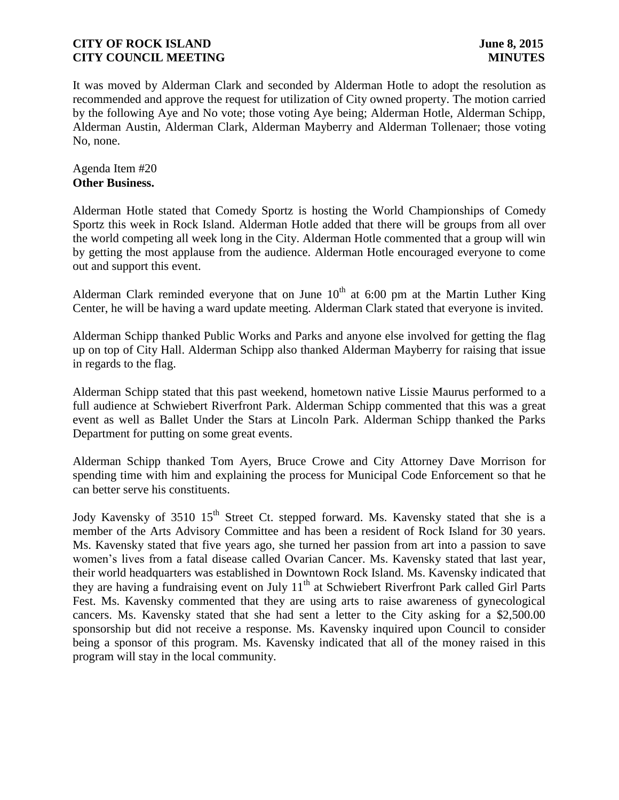It was moved by Alderman Clark and seconded by Alderman Hotle to adopt the resolution as recommended and approve the request for utilization of City owned property. The motion carried by the following Aye and No vote; those voting Aye being; Alderman Hotle, Alderman Schipp, Alderman Austin, Alderman Clark, Alderman Mayberry and Alderman Tollenaer; those voting No, none.

Agenda Item #20 **Other Business.**

Alderman Hotle stated that Comedy Sportz is hosting the World Championships of Comedy Sportz this week in Rock Island. Alderman Hotle added that there will be groups from all over the world competing all week long in the City. Alderman Hotle commented that a group will win by getting the most applause from the audience. Alderman Hotle encouraged everyone to come out and support this event.

Alderman Clark reminded everyone that on June  $10<sup>th</sup>$  at 6:00 pm at the Martin Luther King Center, he will be having a ward update meeting. Alderman Clark stated that everyone is invited.

Alderman Schipp thanked Public Works and Parks and anyone else involved for getting the flag up on top of City Hall. Alderman Schipp also thanked Alderman Mayberry for raising that issue in regards to the flag.

Alderman Schipp stated that this past weekend, hometown native Lissie Maurus performed to a full audience at Schwiebert Riverfront Park. Alderman Schipp commented that this was a great event as well as Ballet Under the Stars at Lincoln Park. Alderman Schipp thanked the Parks Department for putting on some great events.

Alderman Schipp thanked Tom Ayers, Bruce Crowe and City Attorney Dave Morrison for spending time with him and explaining the process for Municipal Code Enforcement so that he can better serve his constituents.

Jody Kavensky of 3510 15<sup>th</sup> Street Ct. stepped forward. Ms. Kavensky stated that she is a member of the Arts Advisory Committee and has been a resident of Rock Island for 30 years. Ms. Kavensky stated that five years ago, she turned her passion from art into a passion to save women's lives from a fatal disease called Ovarian Cancer. Ms. Kavensky stated that last year, their world headquarters was established in Downtown Rock Island. Ms. Kavensky indicated that they are having a fundraising event on July 11<sup>th</sup> at Schwiebert Riverfront Park called Girl Parts Fest. Ms. Kavensky commented that they are using arts to raise awareness of gynecological cancers. Ms. Kavensky stated that she had sent a letter to the City asking for a \$2,500.00 sponsorship but did not receive a response. Ms. Kavensky inquired upon Council to consider being a sponsor of this program. Ms. Kavensky indicated that all of the money raised in this program will stay in the local community.